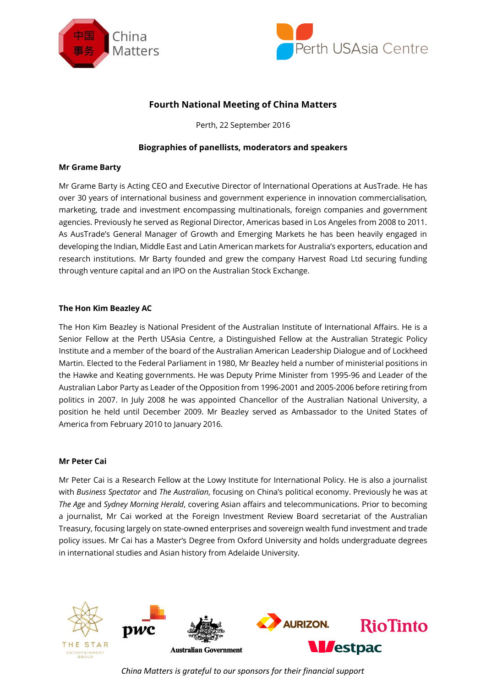



# **Fourth National Meeting of China Matters**

Perth, 22 September 2016

## **Biographies of panellists, moderators and speakers**

#### **Mr Grame Barty**

Mr Grame Barty is Acting CEO and Executive Director of International Operations at AusTrade. He has over 30 years of international business and government experience in innovation commercialisation, marketing, trade and investment encompassing multinationals, foreign companies and government agencies. Previously he served as Regional Director, Americas based in Los Angeles from 2008 to 2011. As AusTrade's General Manager of Growth and Emerging Markets he has been heavily engaged in developing the Indian, Middle East and Latin American markets for Australia's exporters, education and research institutions. Mr Barty founded and grew the company Harvest Road Ltd securing funding through venture capital and an IPO on the Australian Stock Exchange.

# **The Hon Kim Beazley AC**

The Hon Kim Beazley is National President of the Australian Institute of International Affairs. He is a Senior Fellow at the Perth USAsia Centre, a Distinguished Fellow at the Australian Strategic Policy Institute and a member of the board of the Australian American Leadership Dialogue and of Lockheed Martin. Elected to the Federal Parliament in 1980, Mr Beazley held a number of ministerial positions in the Hawke and Keating governments. He was Deputy Prime Minister from 1995-96 and Leader of the Australian Labor Party as Leader of the Opposition from 1996-2001 and 2005-2006 before retiring from politics in 2007. In July 2008 he was appointed Chancellor of the Australian National University, a position he held until December 2009. Mr Beazley served as Ambassador to the United States of America from February 2010 to January 2016.

#### **Mr Peter Cai**

Mr Peter Cai is a Research Fellow at the Lowy Institute for International Policy. He is also a journalist with *Business Spectator* and *The Australian*, focusing on China's political economy. Previously he was at *The Age* and *Sydney Morning Herald*, covering Asian affairs and telecommunications. Prior to becoming a journalist, Mr Cai worked at the Foreign Investment Review Board secretariat of the Australian Treasury, focusing largely on state-owned enterprises and sovereign wealth fund investment and trade policy issues. Mr Cai has a Master's Degree from Oxford University and holds undergraduate degrees in international studies and Asian history from Adelaide University.



*China Matters is grateful to our sponsors for their financial support*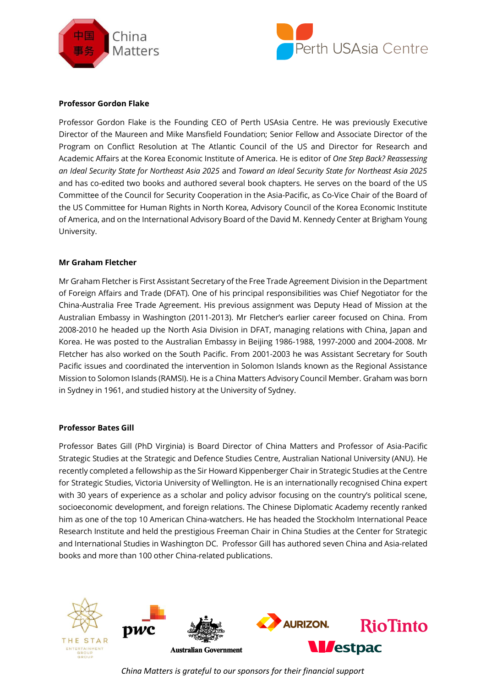



## **Professor Gordon Flake**

Professor Gordon Flake is the Founding CEO of Perth USAsia Centre. He was previously Executive Director of the Maureen and Mike Mansfield Foundation; Senior Fellow and Associate Director of the Program on Conflict Resolution at The Atlantic Council of the US and Director for Research and Academic Affairs at the Korea Economic Institute of America. He is editor of *One Step Back? Reassessing an Ideal Security State for Northeast Asia 2025* and *Toward an Ideal Security State for Northeast Asia 2025* and has co-edited two books and authored several book chapters. He serves on the board of the US Committee of the Council for Security Cooperation in the Asia-Pacific, as Co-Vice Chair of the Board of the US Committee for Human Rights in North Korea, Advisory Council of the Korea Economic Institute of America, and on the International Advisory Board of the David M. Kennedy Center at Brigham Young University.

## **Mr Graham Fletcher**

Mr Graham Fletcher is First Assistant Secretary of the Free Trade Agreement Division in the Department of Foreign Affairs and Trade (DFAT). One of his principal responsibilities was Chief Negotiator for the China-Australia Free Trade Agreement. His previous assignment was Deputy Head of Mission at the Australian Embassy in Washington (2011-2013). Mr Fletcher's earlier career focused on China. From 2008-2010 he headed up the North Asia Division in DFAT, managing relations with China, Japan and Korea. He was posted to the Australian Embassy in Beijing 1986-1988, 1997-2000 and 2004-2008. Mr Fletcher has also worked on the South Pacific. From 2001-2003 he was Assistant Secretary for South Pacific issues and coordinated the intervention in Solomon Islands known as the Regional Assistance Mission to Solomon Islands (RAMSI). He is a China Matters Advisory Council Member. Graham was born in Sydney in 1961, and studied history at the University of Sydney.

#### **Professor Bates Gill**

Professor Bates Gill (PhD Virginia) is Board Director of China Matters and Professor of Asia-Pacific Strategic Studies at the Strategic and Defence Studies Centre, Australian National University (ANU). He recently completed a fellowship as the Sir Howard Kippenberger Chair in Strategic Studies at the Centre for Strategic Studies, Victoria University of Wellington. He is an internationally recognised China expert with 30 years of experience as a scholar and policy advisor focusing on the country's political scene, socioeconomic development, and foreign relations. The Chinese Diplomatic Academy recently ranked him as one of the top 10 American China-watchers. He has headed the Stockholm International Peace Research Institute and held the prestigious Freeman Chair in China Studies at the Center for Strategic and International Studies in Washington DC. Professor Gill has authored seven China and Asia-related books and more than 100 other China-related publications.



*China Matters is grateful to our sponsors for their financial support*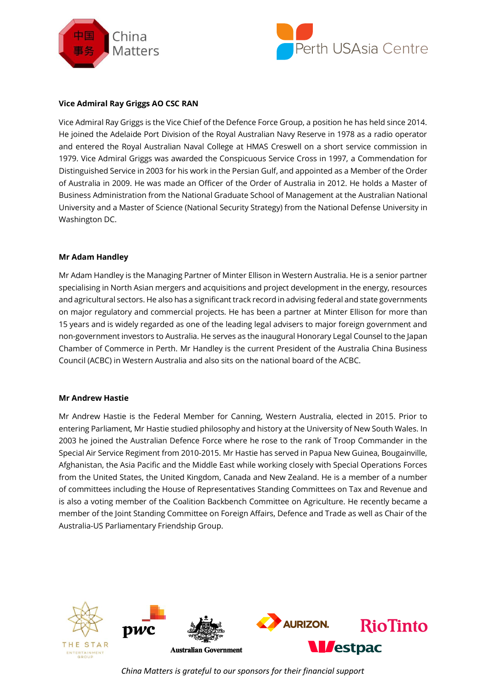



## **Vice Admiral Ray Griggs AO CSC RAN**

Vice Admiral Ray Griggs is the Vice Chief of the Defence Force Group, a position he has held since 2014. He joined the Adelaide Port Division of the Royal Australian Navy Reserve in 1978 as a radio operator and entered the Royal Australian Naval College at HMAS Creswell on a short service commission in 1979. Vice Admiral Griggs was awarded the Conspicuous Service Cross in 1997, a Commendation for Distinguished Service in 2003 for his work in the Persian Gulf, and appointed as a Member of the Order of Australia in 2009. He was made an Officer of the Order of Australia in 2012. He holds a Master of Business Administration from the National Graduate School of Management at the Australian National University and a Master of Science (National Security Strategy) from the National Defense University in Washington DC.

## **Mr Adam Handley**

Mr Adam Handley is the Managing Partner of Minter Ellison in Western Australia. He is a senior partner specialising in North Asian mergers and acquisitions and project development in the energy, resources and agricultural sectors. He also has a significant track record in advising federal and state governments on major regulatory and commercial projects. He has been a partner at Minter Ellison for more than 15 years and is widely regarded as one of the leading legal advisers to major foreign government and non-government investors to Australia. He serves as the inaugural Honorary Legal Counsel to the Japan Chamber of Commerce in Perth. Mr Handley is the current President of the Australia China Business Council (ACBC) in Western Australia and also sits on the national board of the ACBC.

#### **Mr Andrew Hastie**

Mr Andrew Hastie is the Federal Member for Canning, Western Australia, elected in 2015. Prior to entering Parliament, Mr Hastie studied philosophy and history at the University of New South Wales. In 2003 he joined the Australian Defence Force where he rose to the rank of Troop Commander in the Special Air Service Regiment from 2010-2015. Mr Hastie has served in Papua New Guinea, Bougainville, Afghanistan, the Asia Pacific and the Middle East while working closely with Special Operations Forces from the United States, the United Kingdom, Canada and New Zealand. He is a member of a number of committees including the House of Representatives Standing Committees on Tax and Revenue and is also a voting member of the Coalition Backbench Committee on Agriculture. He recently became a member of the Joint Standing Committee on Foreign Affairs, Defence and Trade as well as Chair of the Australia-US Parliamentary Friendship Group.



*China Matters is grateful to our sponsors for their financial support*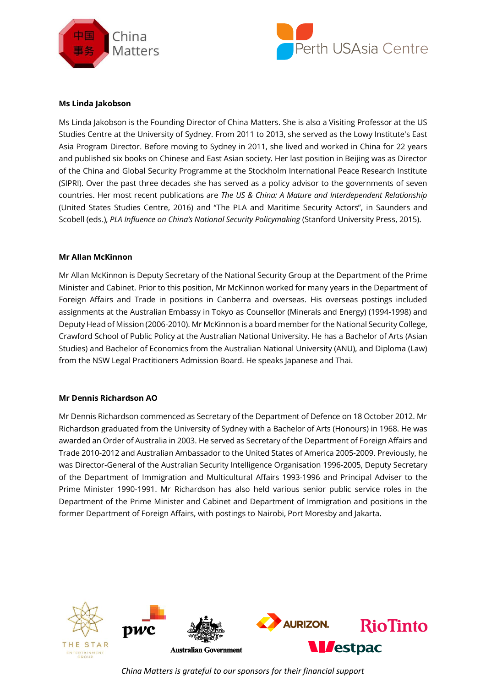



## **Ms Linda Jakobson**

Ms Linda Jakobson is the Founding Director of China Matters. She is also a Visiting Professor at the US Studies Centre at the University of Sydney. From 2011 to 2013, she served as the Lowy Institute's East Asia Program Director. Before moving to Sydney in 2011, she lived and worked in China for 22 years and published six books on Chinese and East Asian society. Her last position in Beijing was as Director of the China and Global Security Programme at the Stockholm International Peace Research Institute (SIPRI). Over the past three decades she has served as a policy advisor to the governments of seven countries. Her most recent publications are *The US & China: A Mature and Interdependent Relationship* (United States Studies Centre, 2016) and "The PLA and Maritime Security Actors", in Saunders and Scobell (eds.), *PLA Influence on China's National Security Policymaking* (Stanford University Press, 2015).

## **Mr Allan McKinnon**

Mr Allan McKinnon is Deputy Secretary of the National Security Group at the Department of the Prime Minister and Cabinet. Prior to this position, Mr McKinnon worked for many years in the Department of Foreign Affairs and Trade in positions in Canberra and overseas. His overseas postings included assignments at the Australian Embassy in Tokyo as Counsellor (Minerals and Energy) (1994-1998) and Deputy Head of Mission (2006-2010). Mr McKinnon is a board member for the National Security College, Crawford School of Public Policy at the Australian National University. He has a Bachelor of Arts (Asian Studies) and Bachelor of Economics from the Australian National University (ANU), and Diploma (Law) from the NSW Legal Practitioners Admission Board. He speaks Japanese and Thai.

#### **Mr Dennis Richardson AO**

Mr Dennis Richardson commenced as Secretary of the Department of Defence on 18 October 2012. Mr Richardson graduated from the University of Sydney with a Bachelor of Arts (Honours) in 1968. He was awarded an Order of Australia in 2003. He served as Secretary of the Department of Foreign Affairs and Trade 2010-2012 and Australian Ambassador to the United States of America 2005-2009. Previously, he was Director-General of the Australian Security Intelligence Organisation 1996-2005, Deputy Secretary of the Department of Immigration and Multicultural Affairs 1993-1996 and Principal Adviser to the Prime Minister 1990-1991. Mr Richardson has also held various senior public service roles in the Department of the Prime Minister and Cabinet and Department of Immigration and positions in the former Department of Foreign Affairs, with postings to Nairobi, Port Moresby and Jakarta.



*China Matters is grateful to our sponsors for their financial support*